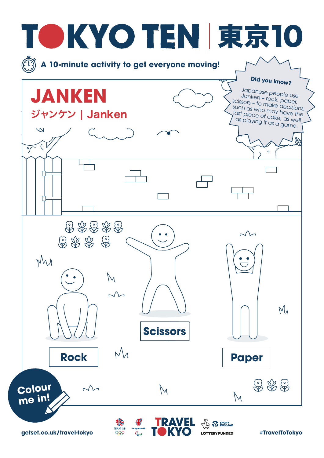